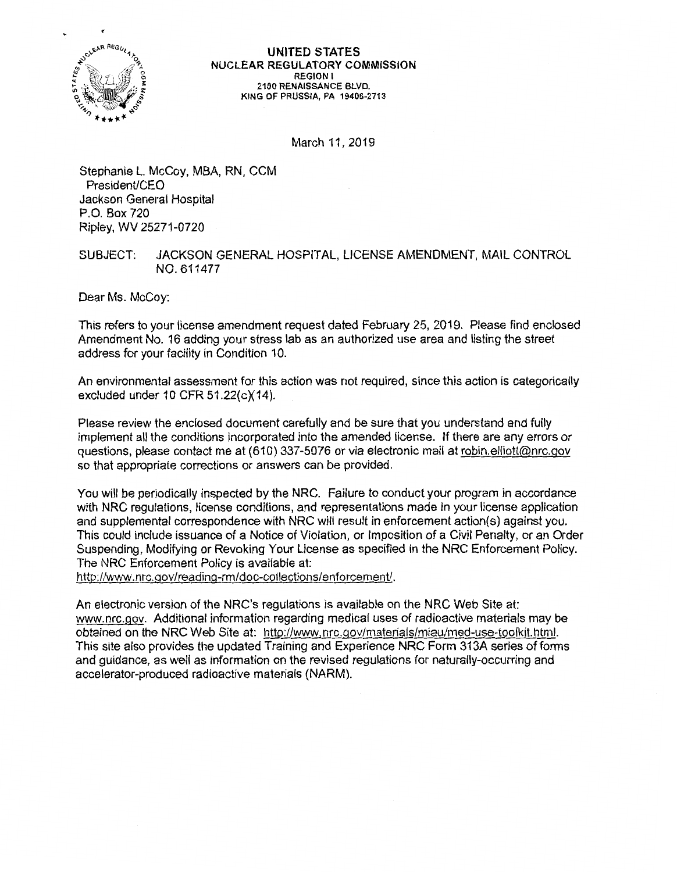

UNITED STATES NUCLEAR REGULATORY COMMISSION REGION I 2100 RENAISSANCE BLVD. KING OF PRUSSIA, PA 19406-2713

March 11, 2019

Stephanie L. McCoy, MBA, RN, CCM President/CEO Jackson General Hospital P.O. Box 720 Ripley, WV 25271-0720

## SUBJECT: JACKSON GENERAL HOSPITAL, LICENSE AMENDMENT, MAIL CONTROL NO. 611477

Dear Ms. McCoy:

This refers to your license amendment request dated February 25, 2019. Please find enclosed Amendment No. 16 adding your stress lab as an authorized use area and listing the street address for your facility in Condition 10.

An environmental assessment for this action was not required, since this action is categorically excluded under 10 CFR 51.22(c)(14).

Please review the enclosed document carefully and be sure that you understand and fully implement all the conditions incorporated into the amended license. If there are any errors or questions, please contact me at (610) 337-5076 or via electronic mail at robin.elliott@nrc.gov so that appropriate corrections or answers can be provided.

You will be periodically inspected by the NRC. Failure to conduct your program in accordance with NRC regulations, license conditions, and representations made in your license application and supplemental correspondence with NRC will result in enforcement action(s) against you. This could include issuance of a Notice of Violation, or Imposition of a Civil Penalty, or an Order Suspending, Modifying or Revoking Your License as specified in the NRC Enforcement Policy. The NRC Enforcement Policy is available at:

http://www.nrc.gov/reading-rm/doc-collections/enforcement/.

An electronic version of the NRC's regulations is available on the NRC Web Site at: www.nrc.gov. Additional information regarding medical uses of radioactive materials may be obtained on the NRC Web Site at: http://www.nrc.gov/materials/miau/med-use-toolkit.html. This site also provides the updated Training and Experience NRC Form 313A series of forms and guidance, as well as information on the revised regulations for naturally-occurring and accelerator-produced radioactive materials (NARM).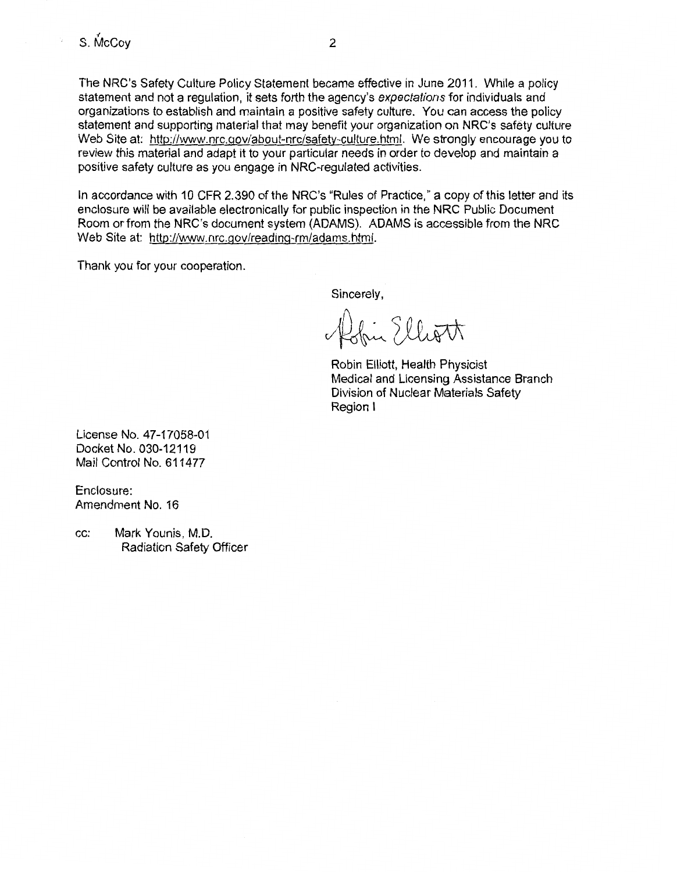The NRC's Safety Culture Policy Statement became effective in June 2011. While a policy statement and not a regulation, it sets forth the agency's expectations for individuals and organizations to establish and maintain a positive safety culture. You can access the policy statement and supporting material that may benefit your organization on NRC's safety culture Web Site at: http://www.nrc.gov/about-nrc/safety-culture.html. We strongly encourage you to review this material and adapt it to your particular needs in order to develop and maintain a positive safety culture as you engage in NRG-regulated activities.

In accordance with 10 CFR 2.390 of the NRC's "Rules of Practice," a copy of this letter and its enclosure will be available electronically for public inspection in the NRC Public Document Room or from the NRC's document system (ADAMS). ADAMS is accessible from the NRC Web Site at: http://www.nrc.gov/reading-rm/adams.html.

Thank you for your cooperation.

Sincerely,

Affin Elliott

Robin Elliott, Health Physicist Medical and Licensing Assistance Branch Division of Nuclear Materials Safety Region I

License No. 47-17058-01 Docket No. 030-12119 Mail Control No. 611477

Enclosure: Amendment No. 16

cc: Mark Younis, M.D. Radiation Safety Officer